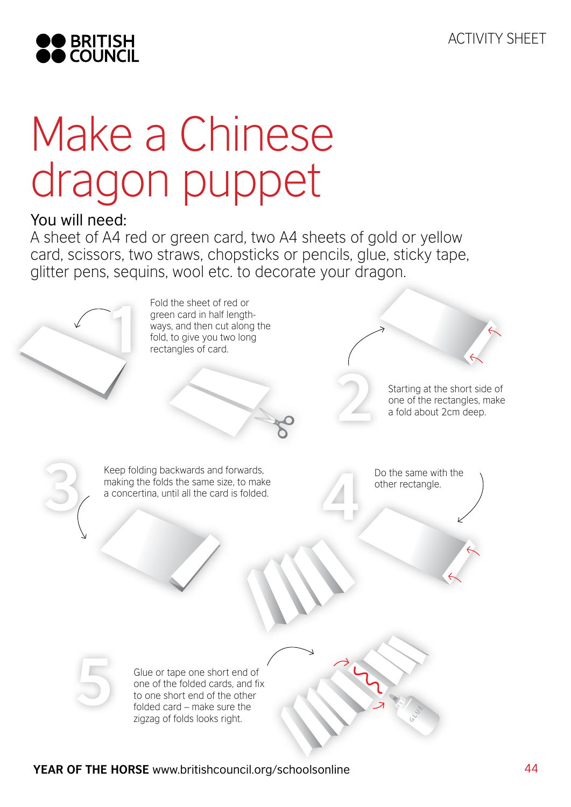

## Make a Chinese dragon puppet

## You will need:

A sheet of A4 red or green card, two A4 sheets of gold or yellow card, scissors, two straws, chopsticks or pencils, glue, sticky tape, glitter pens, sequins, wool etc. to decorate your dragon.

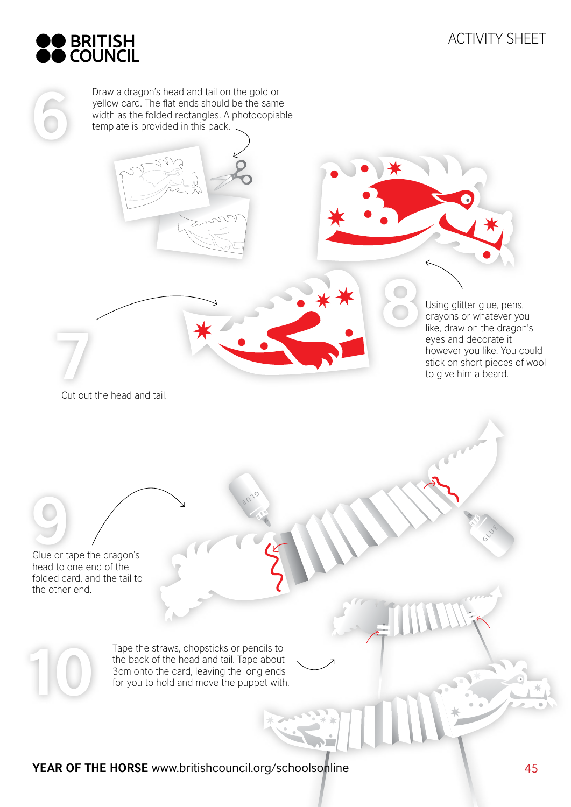

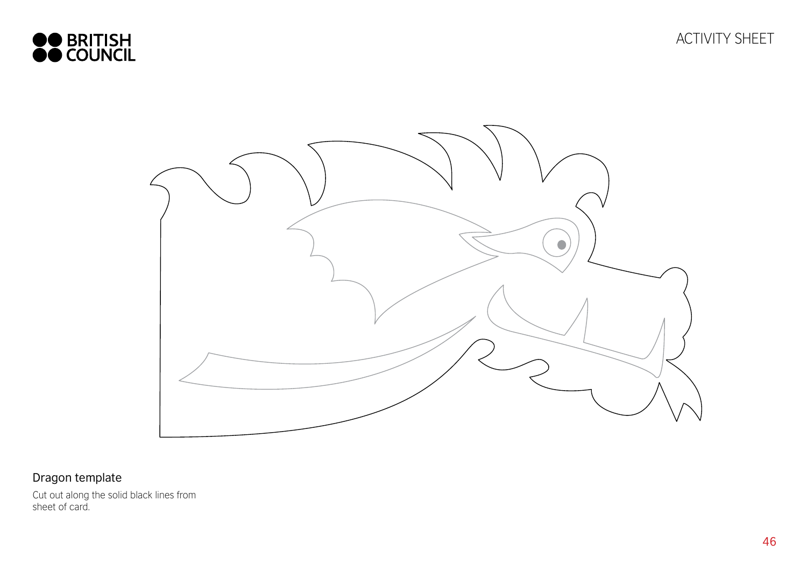



## Dragon template

Cut out along the solid black lines from sheet of card.